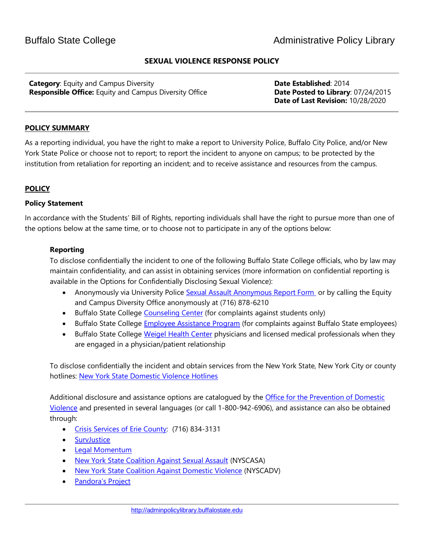## **SEXUAL VIOLENCE RESPONSE POLICY**

**Category**: Equity and Campus Diversity **Date Established**: 2014 **Responsible Office:** Equity and Campus Diversity Office **Date Posted to Library**: 07/24/2015

 **Date of Last Revision:** 10/28/2020

### **POLICY SUMMARY**

As a reporting individual, you have the right to make a report to University Police, Buffalo City Police, and/or New York State Police or choose not to report; to report the incident to anyone on campus; to be protected by the institution from retaliation for reporting an incident; and to receive assistance and resources from the campus.

### **POLICY**

### **Policy Statement**

In accordance with the Students' Bill of Rights, reporting individuals shall have the right to pursue more than one of the options below at the same time, or to choose not to participate in any of the options below:

### **Reporting**

To disclose confidentially the incident to one of the following Buffalo State College officials, who by law may maintain confidentiality, and can assist in obtaining services (more information on confidential reporting is available in the Options for Confidentially Disclosing Sexual Violence):

- Anonymously via University Police [Sexual Assault Anonymous Report Form](https://buffalostate.co1.qualtrics.com/jfe/form/SV_6EdkiALwkGLO0El) or by calling the Equity and Campus Diversity Office anonymously at (716) 878-6210
- Buffalo State College [Counseling Center](http://counselingcenter.buffalostate.edu/) (for complaints against students only)
- Buffalo State College **Employee Assistance Program** (for complaints against Buffalo State employees)
- Buffalo State College [Weigel Health Center](http://weigel.buffalostate.edu/services) physicians and licensed medical professionals when they are engaged in a physician/patient relationship

To disclose confidentially the incident and obtain services from the New York State, New York City or county hotlines: [New York State Domestic Violence Hotlines](http://www.opdv.ny.gov/help/dvhotlines.html)

Additional disclosure and assistance options are catalogued by the Office for the Prevention of Domestic [Violence](http://www.opdv.ny.gov/help/index.html) and presented in several languages (or call 1-800-942-6906), and assistance can also be obtained through:

- [Crisis Services of Erie County:](http://crisisservices.org/) (716) 834-3131
- [SurvJustice](http://survjustice.org/)
- [Legal Momentum](https://www.legalmomentum.org/)
- [New York State Coalition Against Sexual Assault](http://nyscasa.org/get-help/) (NYSCASA)
- [New York State Coalition Against Domestic Violence](http://www.nyscadv.org/) (NYSCADV)
- [Pandora's Project](http://www.pandys.org/lgbtsurvivors.html)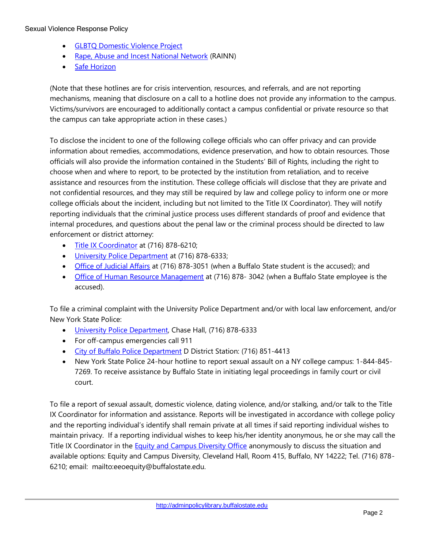#### Sexual Violence Response Policy

- [GLBTQ Domestic Violence Project](http://www.glbtqdvp.org/)
- [Rape, Abuse and Incest National Network](https://www.rainn.org/get-help) (RAINN)
- [Safe Horizon](http://www.safehorizon.org/)

(Note that these hotlines are for crisis intervention, resources, and referrals, and are not reporting mechanisms, meaning that disclosure on a call to a hotline does not provide any information to the campus. Victims/survivors are encouraged to additionally contact a campus confidential or private resource so that the campus can take appropriate action in these cases.)

To disclose the incident to one of the following college officials who can offer privacy and can provide information about remedies, accommodations, evidence preservation, and how to obtain resources. Those officials will also provide the information contained in the Students' Bill of Rights, including the right to choose when and where to report, to be protected by the institution from retaliation, and to receive assistance and resources from the institution. These college officials will disclose that they are private and not confidential resources, and they may still be required by law and college policy to inform one or more college officials about the incident, including but not limited to the Title IX Coordinator). They will notify reporting individuals that the criminal justice process uses different standards of proof and evidence that internal procedures, and questions about the penal law or the criminal process should be directed to law enforcement or district attorney:

- [Title IX Coordinator](https://equity.buffalostate.edu/title-ix-compliance) at (716) 878-6210;
- [University Police Department](http://police.buffalostate.edu/) at (716) 878-6333;
- [Office of Judicial Affairs](http://deanofstudents.buffalostate.edu/judicial-affairs) at (716) 878-3051 (when a Buffalo State student is the accused); and
- [Office of Human Resource Management](http://hr.buffalostate.edu/) at (716) 878-3042 (when a Buffalo State employee is the accused).

To file a criminal complaint with the University Police Department and/or with local law enforcement, and/or New York State Police:

- [University Police Department,](http://police.buffalostate.edu/) Chase Hall, (716) 878-6333
- For off-campus emergencies call 911
- [City of Buffalo Police Department](http://www.bpdny.org/) D District Station: (716) 851-4413
- New York State Police 24-hour hotline to report sexual assault on a NY college campus: 1-844-845- 7269. To receive assistance by Buffalo State in initiating legal proceedings in family court or civil court.

To file a report of sexual assault, domestic violence, dating violence, and/or stalking, and/or talk to the Title IX Coordinator for information and assistance. Reports will be investigated in accordance with college policy and the reporting individual's identify shall remain private at all times if said reporting individual wishes to maintain privacy. If a reporting individual wishes to keep his/her identity anonymous, he or she may call the Title IX Coordinator in the [Equity and Campus Diversity Office](http://equity.buffalostate.edu/) anonymously to discuss the situation and available options: Equity and Campus Diversity, Cleveland Hall, Room 415, Buffalo, NY 14222; Tel. (716) 878- 6210; email: mailto:eeoequity@buffalostate.edu.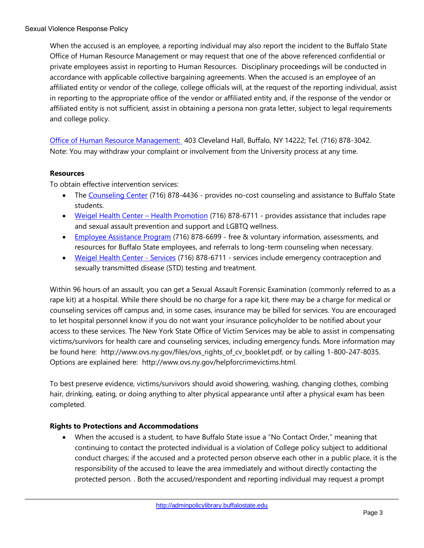When the accused is an employee, a reporting individual may also report the incident to the Buffalo State Office of Human Resource Management or may request that one of the above referenced confidential or private employees assist in reporting to Human Resources. Disciplinary proceedings will be conducted in accordance with applicable collective bargaining agreements. When the accused is an employee of an affiliated entity or vendor of the college, college officials will, at the request of the reporting individual, assist in reporting to the appropriate office of the vendor or affiliated entity and, if the response of the vendor or affiliated entity is not sufficient, assist in obtaining a persona non grata letter, subject to legal requirements and college policy.

[Office of Human Resource Management:](http://hr.buffalostate.edu/) 403 Cleveland Hall, Buffalo, NY 14222; Tel. (716) 878-3042. Note: You may withdraw your complaint or involvement from the University process at any time.

# **Resources**

To obtain effective intervention services:

- The [Counseling Center](http://counselingcenter.buffalostate.edu/) (716) 878-4436 provides no-cost counseling and assistance to Buffalo State students.
- [Weigel Health Center](http://weigel.buffalostate.edu/health-promotion)  Health Promotion (716) 878-6711 provides assistance that includes rape and sexual assault prevention and support and LGBTQ wellness.
- [Employee Assistance Program](http://eap.buffalostate.edu/) (716) 878-6699 free & voluntary information, assessments, and resources for Buffalo State employees, and referrals to long-term counseling when necessary.
- Weigel [Health Center -](http://weigel.buffalostate.edu/services) Services (716) 878-6711 services include emergency contraception and sexually transmitted disease (STD) testing and treatment.

Within 96 hours of an assault, you can get a Sexual Assault Forensic Examination (commonly referred to as a rape kit) at a hospital. While there should be no charge for a rape kit, there may be a charge for medical or counseling services off campus and, in some cases, insurance may be billed for services. You are encouraged to let hospital personnel know if you do not want your insurance policyholder to be notified about your access to these services. The New York State Office of Victim Services may be able to assist in compensating victims/survivors for health care and counseling services, including emergency funds. More information may be found here: http://www.ovs.ny.gov/files/ovs rights of cv booklet.pdf, or by calling 1-800-247-8035. Options are explained here: http://www.ovs.ny.gov/helpforcrimevictims.html.

To best preserve evidence, victims/survivors should avoid showering, washing, changing clothes, combing hair, drinking, eating, or doing anything to alter physical appearance until after a physical exam has been completed.

# **Rights to Protections and Accommodations**

• When the accused is a student, to have Buffalo State issue a "No Contact Order," meaning that continuing to contact the protected individual is a violation of College policy subject to additional conduct charges; if the accused and a protected person observe each other in a public place, it is the responsibility of the accused to leave the area immediately and without directly contacting the protected person. . Both the accused/respondent and reporting individual may request a prompt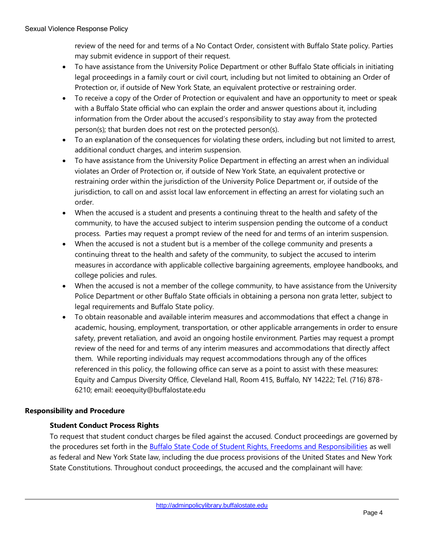review of the need for and terms of a No Contact Order, consistent with Buffalo State policy. Parties may submit evidence in support of their request.

- To have assistance from the University Police Department or other Buffalo State officials in initiating legal proceedings in a family court or civil court, including but not limited to obtaining an Order of Protection or, if outside of New York State, an equivalent protective or restraining order.
- To receive a copy of the Order of Protection or equivalent and have an opportunity to meet or speak with a Buffalo State official who can explain the order and answer questions about it, including information from the Order about the accused's responsibility to stay away from the protected person(s); that burden does not rest on the protected person(s).
- To an explanation of the consequences for violating these orders, including but not limited to arrest, additional conduct charges, and interim suspension.
- To have assistance from the University Police Department in effecting an arrest when an individual violates an Order of Protection or, if outside of New York State, an equivalent protective or restraining order within the jurisdiction of the University Police Department or, if outside of the jurisdiction, to call on and assist local law enforcement in effecting an arrest for violating such an order.
- When the accused is a student and presents a continuing threat to the health and safety of the community, to have the accused subject to interim suspension pending the outcome of a conduct process. Parties may request a prompt review of the need for and terms of an interim suspension.
- When the accused is not a student but is a member of the college community and presents a continuing threat to the health and safety of the community, to subject the accused to interim measures in accordance with applicable collective bargaining agreements, employee handbooks, and college policies and rules.
- When the accused is not a member of the college community, to have assistance from the University Police Department or other Buffalo State officials in obtaining a persona non grata letter, subject to legal requirements and Buffalo State policy.
- To obtain reasonable and available interim measures and accommodations that effect a change in academic, housing, employment, transportation, or other applicable arrangements in order to ensure safety, prevent retaliation, and avoid an ongoing hostile environment. Parties may request a prompt review of the need for and terms of any interim measures and accommodations that directly affect them. While reporting individuals may request accommodations through any of the offices referenced in this policy, the following office can serve as a point to assist with these measures: Equity and Campus Diversity Office, Cleveland Hall, Room 415, Buffalo, NY 14222; Tel. (716) 878- 6210; email: eeoequity@buffalostate.edu

# **Responsibility and Procedure**

# **Student Conduct Process Rights**

To request that student conduct charges be filed against the accused. Conduct proceedings are governed by the procedures set forth in the [Buffalo State Code of Student Rights, Freedoms and Responsibilities](https://equity.buffalostate.edu/sites/equity.buffalostate.edu/files/uploads/Documents/policies/2015%20updates/Code%20of%20Conduct%20Revisions--FINAL%20VERSION-Enough%20is%20Enough%20Law-Sept%20%202015%20%282%29.pdf) as well as federal and New York State law, including the due process provisions of the United States and New York State Constitutions. Throughout conduct proceedings, the accused and the complainant will have: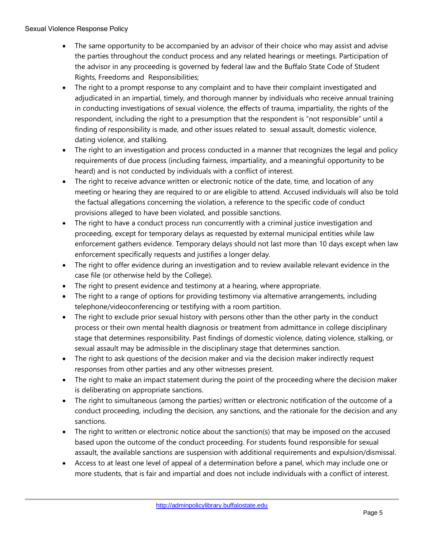### Sexual Violence Response Policy

- The same opportunity to be accompanied by an advisor of their choice who may assist and advise the parties throughout the conduct process and any related hearings or meetings. Participation of the advisor in any proceeding is governed by federal law and the Buffalo State Code of Student Rights, Freedoms and Responsibilities;
- The right to a prompt response to any complaint and to have their complaint investigated and adjudicated in an impartial, timely, and thorough manner by individuals who receive annual training in conducting investigations of sexual violence, the effects of trauma, impartiality, the rights of the respondent, including the right to a presumption that the respondent is "not responsible" until a finding of responsibility is made, and other issues related to sexual assault, domestic violence, dating violence, and stalking.
- The right to an investigation and process conducted in a manner that recognizes the legal and policy requirements of due process (including fairness, impartiality, and a meaningful opportunity to be heard) and is not conducted by individuals with a conflict of interest.
- The right to receive advance written or electronic notice of the date, time, and location of any meeting or hearing they are required to or are eligible to attend. Accused individuals will also be told the factual allegations concerning the violation, a reference to the specific code of conduct provisions alleged to have been violated, and possible sanctions.
- The right to have a conduct process run concurrently with a criminal justice investigation and proceeding, except for temporary delays as requested by external municipal entities while law enforcement gathers evidence. Temporary delays should not last more than 10 days except when law enforcement specifically requests and justifies a longer delay.
- The right to offer evidence during an investigation and to review available relevant evidence in the case file (or otherwise held by the College).
- The right to present evidence and testimony at a hearing, where appropriate.
- The right to a range of options for providing testimony via alternative arrangements, including telephone/videoconferencing or testifying with a room partition.
- The right to exclude prior sexual history with persons other than the other party in the conduct process or their own mental health diagnosis or treatment from admittance in college disciplinary stage that determines responsibility. Past findings of domestic violence, dating violence, stalking, or sexual assault may be admissible in the disciplinary stage that determines sanction.
- The right to ask questions of the decision maker and via the decision maker indirectly request responses from other parties and any other witnesses present.
- The right to make an impact statement during the point of the proceeding where the decision maker is deliberating on appropriate sanctions.
- The right to simultaneous (among the parties) written or electronic notification of the outcome of a conduct proceeding, including the decision, any sanctions, and the rationale for the decision and any sanctions.
- The right to written or electronic notice about the sanction(s) that may be imposed on the accused based upon the outcome of the conduct proceeding. For students found responsible for sexual assault, the available sanctions are suspension with additional requirements and expulsion/dismissal.
- Access to at least one level of appeal of a determination before a panel, which may include one or more students, that is fair and impartial and does not include individuals with a conflict of interest.